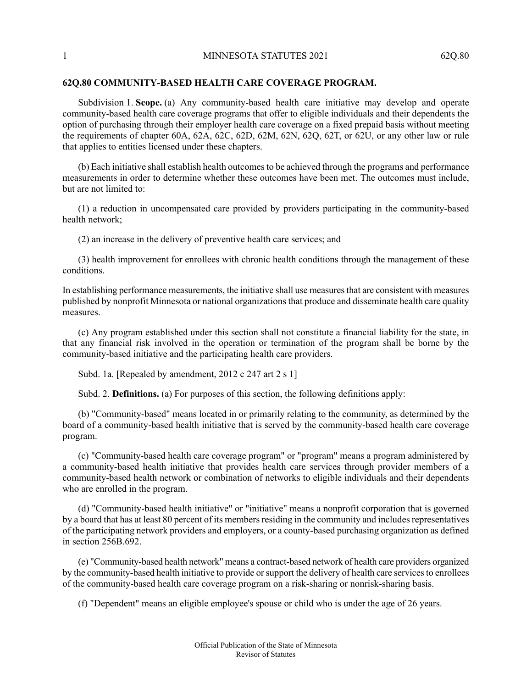## **62Q.80 COMMUNITY-BASED HEALTH CARE COVERAGE PROGRAM.**

Subdivision 1. **Scope.** (a) Any community-based health care initiative may develop and operate community-based health care coverage programs that offer to eligible individuals and their dependents the option of purchasing through their employer health care coverage on a fixed prepaid basis without meeting the requirements of chapter 60A, 62A, 62C, 62D, 62M, 62N, 62Q, 62T, or 62U, or any other law or rule that applies to entities licensed under these chapters.

(b) Each initiative shall establish health outcomesto be achieved through the programs and performance measurements in order to determine whether these outcomes have been met. The outcomes must include, but are not limited to:

(1) a reduction in uncompensated care provided by providers participating in the community-based health network;

(2) an increase in the delivery of preventive health care services; and

(3) health improvement for enrollees with chronic health conditions through the management of these conditions.

In establishing performance measurements, the initiative shall use measures that are consistent with measures published by nonprofit Minnesota or national organizations that produce and disseminate health care quality measures.

(c) Any program established under this section shall not constitute a financial liability for the state, in that any financial risk involved in the operation or termination of the program shall be borne by the community-based initiative and the participating health care providers.

Subd. 1a. [Repealed by amendment, 2012 c 247 art 2 s 1]

Subd. 2. **Definitions.** (a) For purposes of this section, the following definitions apply:

(b) "Community-based" means located in or primarily relating to the community, as determined by the board of a community-based health initiative that is served by the community-based health care coverage program.

(c) "Community-based health care coverage program" or "program" means a program administered by a community-based health initiative that provides health care services through provider members of a community-based health network or combination of networks to eligible individuals and their dependents who are enrolled in the program.

(d) "Community-based health initiative" or "initiative" means a nonprofit corporation that is governed by a board that has at least 80 percent of its members residing in the community and includes representatives of the participating network providers and employers, or a county-based purchasing organization as defined in section 256B.692.

(e) "Community-based health network" means a contract-based network of health care providers organized by the community-based health initiative to provide or support the delivery of health care services to enrollees of the community-based health care coverage program on a risk-sharing or nonrisk-sharing basis.

(f) "Dependent" means an eligible employee's spouse or child who is under the age of 26 years.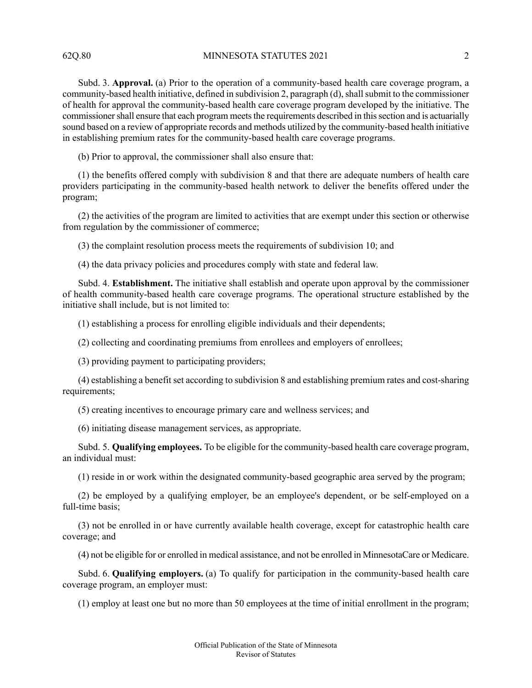62Q.80 MINNESOTA STATUTES 2021 2

Subd. 3. **Approval.** (a) Prior to the operation of a community-based health care coverage program, a community-based health initiative, defined in subdivision 2, paragraph (d), shall submit to the commissioner of health for approval the community-based health care coverage program developed by the initiative. The commissioner shall ensure that each program meets the requirements described in this section and is actuarially sound based on a review of appropriate records and methods utilized by the community-based health initiative in establishing premium rates for the community-based health care coverage programs.

(b) Prior to approval, the commissioner shall also ensure that:

(1) the benefits offered comply with subdivision 8 and that there are adequate numbers of health care providers participating in the community-based health network to deliver the benefits offered under the program;

(2) the activities of the program are limited to activities that are exempt under this section or otherwise from regulation by the commissioner of commerce;

(3) the complaint resolution process meets the requirements of subdivision 10; and

(4) the data privacy policies and procedures comply with state and federal law.

Subd. 4. **Establishment.** The initiative shall establish and operate upon approval by the commissioner of health community-based health care coverage programs. The operational structure established by the initiative shall include, but is not limited to:

(1) establishing a process for enrolling eligible individuals and their dependents;

(2) collecting and coordinating premiums from enrollees and employers of enrollees;

(3) providing payment to participating providers;

(4) establishing a benefit set according to subdivision 8 and establishing premium rates and cost-sharing requirements;

(5) creating incentives to encourage primary care and wellness services; and

(6) initiating disease management services, as appropriate.

Subd. 5. **Qualifying employees.** To be eligible for the community-based health care coverage program, an individual must:

(1) reside in or work within the designated community-based geographic area served by the program;

(2) be employed by a qualifying employer, be an employee's dependent, or be self-employed on a full-time basis;

(3) not be enrolled in or have currently available health coverage, except for catastrophic health care coverage; and

(4) not be eligible for or enrolled in medical assistance, and not be enrolled in MinnesotaCare or Medicare.

Subd. 6. **Qualifying employers.** (a) To qualify for participation in the community-based health care coverage program, an employer must:

(1) employ at least one but no more than 50 employees at the time of initial enrollment in the program;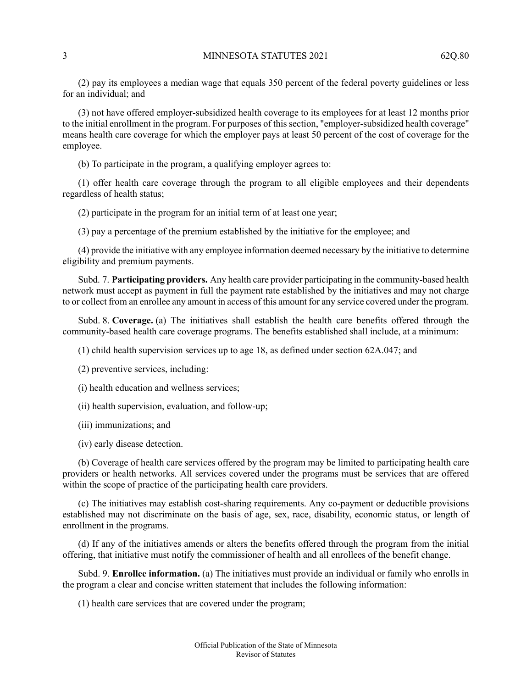(2) pay its employees a median wage that equals 350 percent of the federal poverty guidelines or less for an individual; and

(3) not have offered employer-subsidized health coverage to its employees for at least 12 months prior to the initial enrollment in the program. For purposes of this section, "employer-subsidized health coverage" means health care coverage for which the employer pays at least 50 percent of the cost of coverage for the employee.

(b) To participate in the program, a qualifying employer agrees to:

(1) offer health care coverage through the program to all eligible employees and their dependents regardless of health status;

(2) participate in the program for an initial term of at least one year;

(3) pay a percentage of the premium established by the initiative for the employee; and

(4) provide the initiative with any employee information deemed necessary by the initiative to determine eligibility and premium payments.

Subd. 7. **Participating providers.** Any health care provider participating in the community-based health network must accept as payment in full the payment rate established by the initiatives and may not charge to or collect from an enrollee any amount in access of this amount for any service covered under the program.

Subd. 8. **Coverage.** (a) The initiatives shall establish the health care benefits offered through the community-based health care coverage programs. The benefits established shall include, at a minimum:

(1) child health supervision services up to age 18, as defined under section 62A.047; and

- (2) preventive services, including:
- (i) health education and wellness services;
- (ii) health supervision, evaluation, and follow-up;
- (iii) immunizations; and
- (iv) early disease detection.

(b) Coverage of health care services offered by the program may be limited to participating health care providers or health networks. All services covered under the programs must be services that are offered within the scope of practice of the participating health care providers.

(c) The initiatives may establish cost-sharing requirements. Any co-payment or deductible provisions established may not discriminate on the basis of age, sex, race, disability, economic status, or length of enrollment in the programs.

(d) If any of the initiatives amends or alters the benefits offered through the program from the initial offering, that initiative must notify the commissioner of health and all enrollees of the benefit change.

Subd. 9. **Enrollee information.** (a) The initiatives must provide an individual or family who enrolls in the program a clear and concise written statement that includes the following information:

(1) health care services that are covered under the program;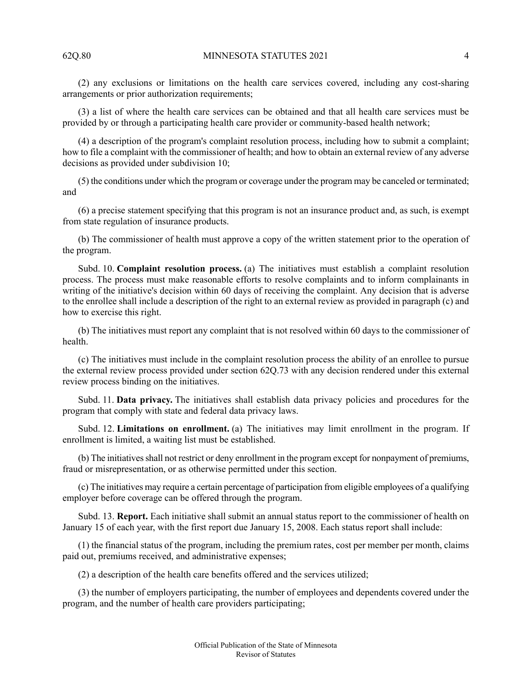(2) any exclusions or limitations on the health care services covered, including any cost-sharing arrangements or prior authorization requirements;

(3) a list of where the health care services can be obtained and that all health care services must be provided by or through a participating health care provider or community-based health network;

(4) a description of the program's complaint resolution process, including how to submit a complaint; how to file a complaint with the commissioner of health; and how to obtain an external review of any adverse decisions as provided under subdivision 10;

(5) the conditions under which the program or coverage under the program may be canceled or terminated; and

(6) a precise statement specifying that this program is not an insurance product and, as such, is exempt from state regulation of insurance products.

(b) The commissioner of health must approve a copy of the written statement prior to the operation of the program.

Subd. 10. **Complaint resolution process.** (a) The initiatives must establish a complaint resolution process. The process must make reasonable efforts to resolve complaints and to inform complainants in writing of the initiative's decision within 60 days of receiving the complaint. Any decision that is adverse to the enrollee shall include a description of the right to an external review as provided in paragraph (c) and how to exercise this right.

(b) The initiatives must report any complaint that is not resolved within 60 days to the commissioner of health.

(c) The initiatives must include in the complaint resolution process the ability of an enrollee to pursue the external review process provided under section 62Q.73 with any decision rendered under this external review process binding on the initiatives.

Subd. 11. **Data privacy.** The initiatives shall establish data privacy policies and procedures for the program that comply with state and federal data privacy laws.

Subd. 12. **Limitations on enrollment.** (a) The initiatives may limit enrollment in the program. If enrollment is limited, a waiting list must be established.

(b) The initiativesshall not restrict or deny enrollment in the program except for nonpayment of premiums, fraud or misrepresentation, or as otherwise permitted under this section.

(c) The initiatives may require a certain percentage of participation from eligible employees of a qualifying employer before coverage can be offered through the program.

Subd. 13. **Report.** Each initiative shall submit an annual status report to the commissioner of health on January 15 of each year, with the first report due January 15, 2008. Each status report shall include:

(1) the financial status of the program, including the premium rates, cost per member per month, claims paid out, premiums received, and administrative expenses;

(2) a description of the health care benefits offered and the services utilized;

(3) the number of employers participating, the number of employees and dependents covered under the program, and the number of health care providers participating;